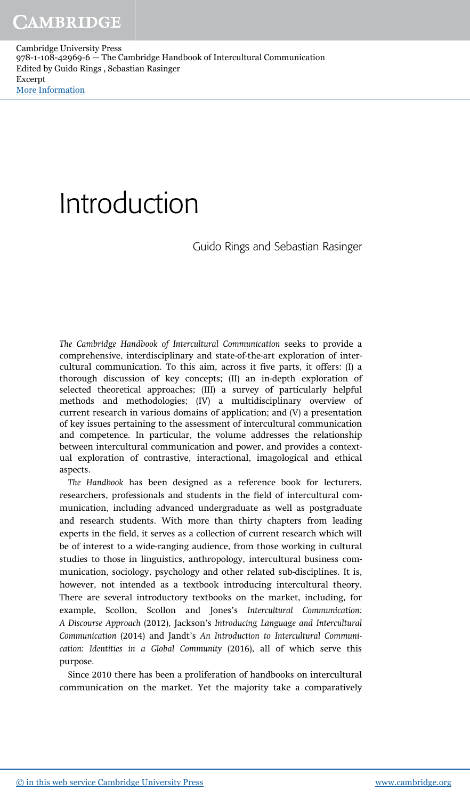# Introduction

Guido Rings and Sebastian Rasinger

*The Cambridge Handbook of Intercultural Communication* seeks to provide a comprehensive, interdisciplinary and state-of-the-art exploration of intercultural communication. To this aim, across it five parts, it offers: (I) a thorough discussion of key concepts; (II) an in-depth exploration of selected theoretical approaches; (III) a survey of particularly helpful methods and methodologies; (IV) a multidisciplinary overview of current research in various domains of application; and (V) a presentation of key issues pertaining to the assessment of intercultural communication and competence. In particular, the volume addresses the relationship between intercultural communication and power, and provides a contextual exploration of contrastive, interactional, imagological and ethical aspects.

*The Handbook* has been designed as a reference book for lecturers, researchers, professionals and students in the field of intercultural communication, including advanced undergraduate as well as postgraduate and research students. With more than thirty chapters from leading experts in the field, it serves as a collection of current research which will be of interest to a wide-ranging audience, from those working in cultural studies to those in linguistics, anthropology, intercultural business communication, sociology, psychology and other related sub-disciplines. It is, however, not intended as a textbook introducing intercultural theory. There are several introductory textbooks on the market, including, for example, Scollon, Scollon and Jones's *Intercultural Communication: A Discourse Approach* (2012), Jackson's *Introducing Language and Intercultural Communication* (2014) and Jandt's *An Introduction to Intercultural Communication: Identities in a Global Community* (2016), all of which serve this purpose.

Since 2010 there has been a proliferation of handbooks on intercultural communication on the market. Yet the majority take a comparatively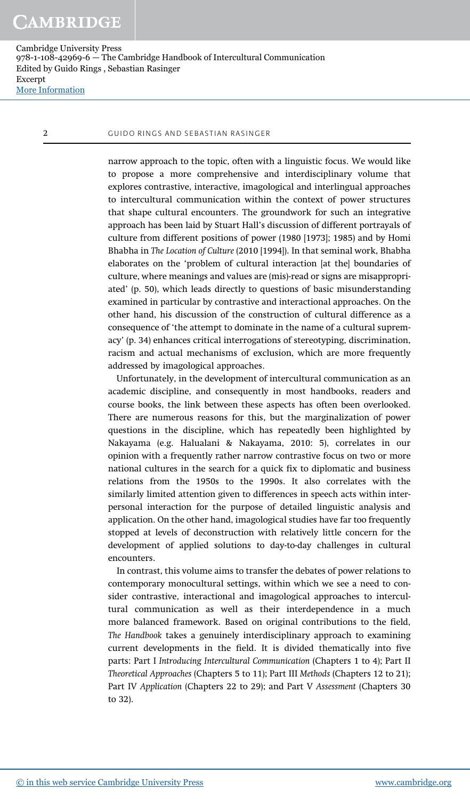narrow approach to the topic, often with a linguistic focus. We would like to propose a more comprehensive and interdisciplinary volume that explores contrastive, interactive, imagological and interlingual approaches to intercultural communication within the context of power structures that shape cultural encounters. The groundwork for such an integrative approach has been laid by Stuart Hall's discussion of different portrayals of culture from different positions of power (1980 [1973]; 1985) and by Homi Bhabha in *The Location of Culture* (2010 [1994]). In that seminal work, Bhabha elaborates on the 'problem of cultural interaction [at the] boundaries of culture, where meanings and values are (mis)-read or signs are misappropriated' (p. 50), which leads directly to questions of basic misunderstanding examined in particular by contrastive and interactional approaches. On the other hand, his discussion of the construction of cultural difference as a consequence of 'the attempt to dominate in the name of a cultural supremacy' (p. 34) enhances critical interrogations of stereotyping, discrimination, racism and actual mechanisms of exclusion, which are more frequently addressed by imagological approaches.

Unfortunately, in the development of intercultural communication as an academic discipline, and consequently in most handbooks, readers and course books, the link between these aspects has often been overlooked. There are numerous reasons for this, but the marginalization of power questions in the discipline, which has repeatedly been highlighted by Nakayama (e.g. Halualani & Nakayama, 2010: 5), correlates in our opinion with a frequently rather narrow contrastive focus on two or more national cultures in the search for a quick fix to diplomatic and business relations from the 1950s to the 1990s. It also correlates with the similarly limited attention given to differences in speech acts within interpersonal interaction for the purpose of detailed linguistic analysis and application. On the other hand, imagological studies have far too frequently stopped at levels of deconstruction with relatively little concern for the development of applied solutions to day-to-day challenges in cultural encounters.

In contrast, this volume aims to transfer the debates of power relations to contemporary monocultural settings, within which we see a need to consider contrastive, interactional and imagological approaches to intercultural communication as well as their interdependence in a much more balanced framework. Based on original contributions to the field, *The Handbook* takes a genuinely interdisciplinary approach to examining current developments in the field. It is divided thematically into five parts: Part I *Introducing Intercultural Communication* (Chapters 1 to 4); Part II *Theoretical Approaches* (Chapters 5 to 11); Part III *Methods* (Chapters 12 to 21); Part IV *Application* (Chapters 22 to 29); and Part V *Assessment* (Chapters 30 to 32).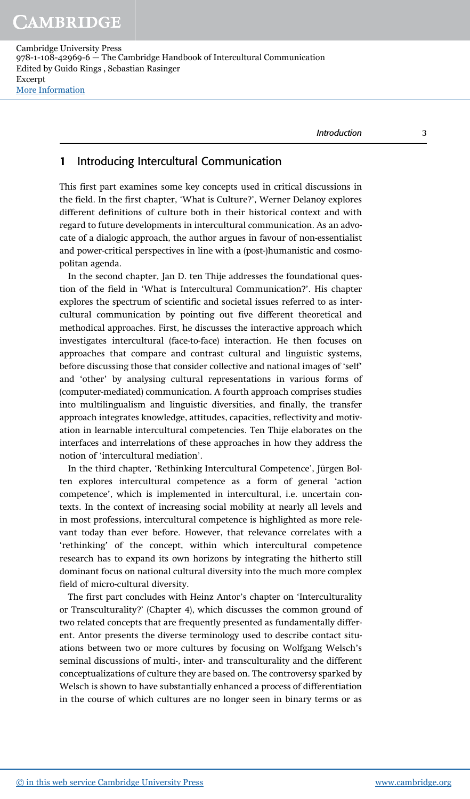**CAMBRIDGE** 

Cambridge University Press 978-1-108-42969-6 — The Cambridge Handbook of Intercultural Communication Edited by Guido Rings , Sebastian Rasinger Excerpt [More Information](www.cambridge.org/9781108429696)

*Introduction* 3

## 1 Introducing Intercultural Communication

This first part examines some key concepts used in critical discussions in the field. In the first chapter, 'What is Culture?', Werner Delanoy explores different definitions of culture both in their historical context and with regard to future developments in intercultural communication. As an advocate of a dialogic approach, the author argues in favour of non-essentialist and power-critical perspectives in line with a (post-)humanistic and cosmopolitan agenda.

In the second chapter, Jan D. ten Thije addresses the foundational question of the field in 'What is Intercultural Communication?'. His chapter explores the spectrum of scientific and societal issues referred to as intercultural communication by pointing out five different theoretical and methodical approaches. First, he discusses the interactive approach which investigates intercultural (face-to-face) interaction. He then focuses on approaches that compare and contrast cultural and linguistic systems, before discussing those that consider collective and national images of 'self' and 'other' by analysing cultural representations in various forms of (computer-mediated) communication. A fourth approach comprises studies into multilingualism and linguistic diversities, and finally, the transfer approach integrates knowledge, attitudes, capacities, reflectivity and motivation in learnable intercultural competencies. Ten Thije elaborates on the interfaces and interrelations of these approaches in how they address the notion of 'intercultural mediation'.

In the third chapter, 'Rethinking Intercultural Competence', Jürgen Bolten explores intercultural competence as a form of general 'action competence', which is implemented in intercultural, i.e. uncertain contexts. In the context of increasing social mobility at nearly all levels and in most professions, intercultural competence is highlighted as more relevant today than ever before. However, that relevance correlates with a 'rethinking' of the concept, within which intercultural competence research has to expand its own horizons by integrating the hitherto still dominant focus on national cultural diversity into the much more complex field of micro-cultural diversity.

The first part concludes with Heinz Antor's chapter on 'Interculturality or Transculturality?' (Chapter 4), which discusses the common ground of two related concepts that are frequently presented as fundamentally different. Antor presents the diverse terminology used to describe contact situations between two or more cultures by focusing on Wolfgang Welsch's seminal discussions of multi-, inter- and transculturality and the different conceptualizations of culture they are based on. The controversy sparked by Welsch is shown to have substantially enhanced a process of differentiation in the course of which cultures are no longer seen in binary terms or as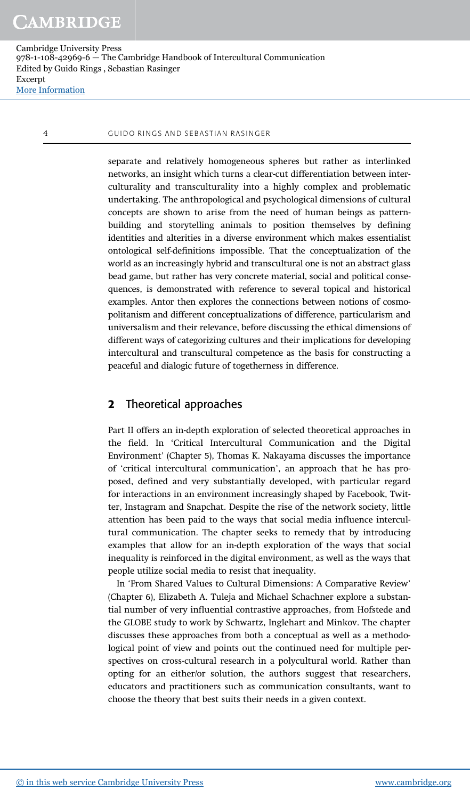separate and relatively homogeneous spheres but rather as interlinked networks, an insight which turns a clear-cut differentiation between interculturality and transculturality into a highly complex and problematic undertaking. The anthropological and psychological dimensions of cultural concepts are shown to arise from the need of human beings as patternbuilding and storytelling animals to position themselves by defining identities and alterities in a diverse environment which makes essentialist ontological self-definitions impossible. That the conceptualization of the world as an increasingly hybrid and transcultural one is not an abstract glass bead game, but rather has very concrete material, social and political consequences, is demonstrated with reference to several topical and historical examples. Antor then explores the connections between notions of cosmopolitanism and different conceptualizations of difference, particularism and universalism and their relevance, before discussing the ethical dimensions of different ways of categorizing cultures and their implications for developing intercultural and transcultural competence as the basis for constructing a peaceful and dialogic future of togetherness in difference.

# 2 Theoretical approaches

Part II offers an in-depth exploration of selected theoretical approaches in the field. In 'Critical Intercultural Communication and the Digital Environment' (Chapter 5), Thomas K. Nakayama discusses the importance of 'critical intercultural communication', an approach that he has proposed, defined and very substantially developed, with particular regard for interactions in an environment increasingly shaped by Facebook, Twitter, Instagram and Snapchat. Despite the rise of the network society, little attention has been paid to the ways that social media influence intercultural communication. The chapter seeks to remedy that by introducing examples that allow for an in-depth exploration of the ways that social inequality is reinforced in the digital environment, as well as the ways that people utilize social media to resist that inequality.

In 'From Shared Values to Cultural Dimensions: A Comparative Review' (Chapter 6), Elizabeth A. Tuleja and Michael Schachner explore a substantial number of very influential contrastive approaches, from Hofstede and the GLOBE study to work by Schwartz, Inglehart and Minkov. The chapter discusses these approaches from both a conceptual as well as a methodological point of view and points out the continued need for multiple perspectives on cross-cultural research in a polycultural world. Rather than opting for an either/or solution, the authors suggest that researchers, educators and practitioners such as communication consultants, want to choose the theory that best suits their needs in a given context.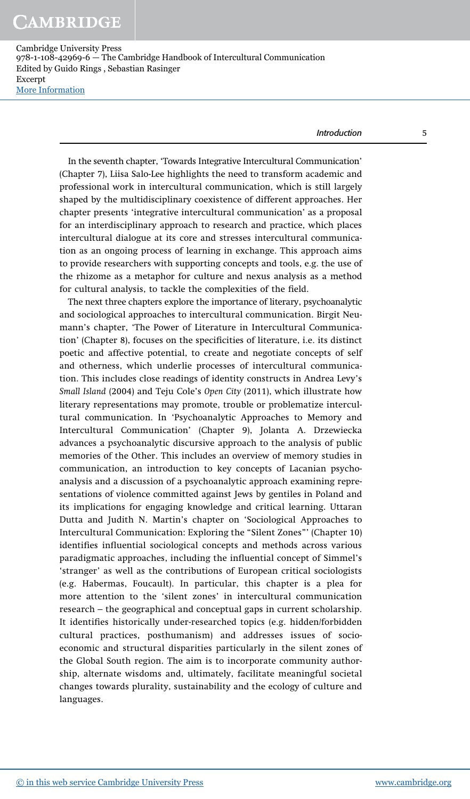#### *Introduction* 5

In the seventh chapter, 'Towards Integrative Intercultural Communication' (Chapter 7), Liisa Salo-Lee highlights the need to transform academic and professional work in intercultural communication, which is still largely shaped by the multidisciplinary coexistence of different approaches. Her chapter presents 'integrative intercultural communication' as a proposal for an interdisciplinary approach to research and practice, which places intercultural dialogue at its core and stresses intercultural communication as an ongoing process of learning in exchange. This approach aims to provide researchers with supporting concepts and tools, e.g. the use of the rhizome as a metaphor for culture and nexus analysis as a method for cultural analysis, to tackle the complexities of the field.

The next three chapters explore the importance of literary, psychoanalytic and sociological approaches to intercultural communication. Birgit Neumann's chapter, 'The Power of Literature in Intercultural Communication' (Chapter 8), focuses on the specificities of literature, i.e. its distinct poetic and affective potential, to create and negotiate concepts of self and otherness, which underlie processes of intercultural communication. This includes close readings of identity constructs in Andrea Levy's *Small Island* (2004) and Teju Cole's *Open City* (2011), which illustrate how literary representations may promote, trouble or problematize intercultural communication. In 'Psychoanalytic Approaches to Memory and Intercultural Communication' (Chapter 9), Jolanta A. Drzewiecka advances a psychoanalytic discursive approach to the analysis of public memories of the Other. This includes an overview of memory studies in communication, an introduction to key concepts of Lacanian psychoanalysis and a discussion of a psychoanalytic approach examining representations of violence committed against Jews by gentiles in Poland and its implications for engaging knowledge and critical learning. Uttaran Dutta and Judith N. Martin's chapter on 'Sociological Approaches to Intercultural Communication: Exploring the "Silent Zones"' (Chapter 10) identifies influential sociological concepts and methods across various paradigmatic approaches, including the influential concept of Simmel's 'stranger' as well as the contributions of European critical sociologists (e.g. Habermas, Foucault). In particular, this chapter is a plea for more attention to the 'silent zones' in intercultural communication research – the geographical and conceptual gaps in current scholarship. It identifies historically under-researched topics (e.g. hidden/forbidden cultural practices, posthumanism) and addresses issues of socioeconomic and structural disparities particularly in the silent zones of the Global South region. The aim is to incorporate community authorship, alternate wisdoms and, ultimately, facilitate meaningful societal changes towards plurality, sustainability and the ecology of culture and languages.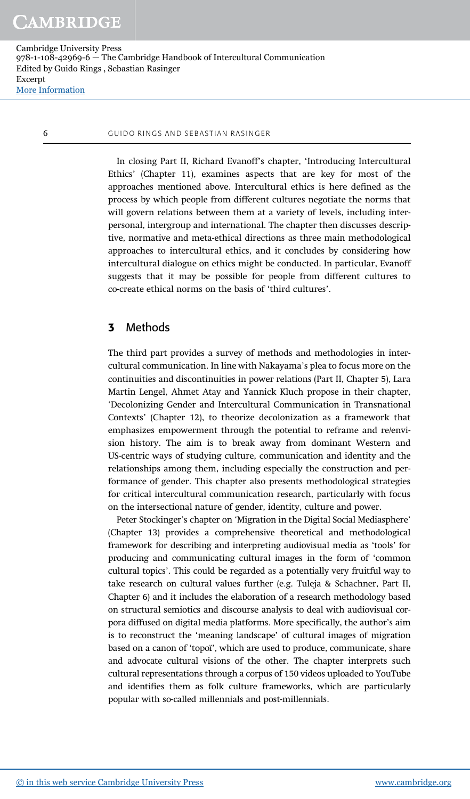In closing Part II, Richard Evanoff's chapter, 'Introducing Intercultural Ethics' (Chapter 11), examines aspects that are key for most of the approaches mentioned above. Intercultural ethics is here defined as the process by which people from different cultures negotiate the norms that will govern relations between them at a variety of levels, including interpersonal, intergroup and international. The chapter then discusses descriptive, normative and meta-ethical directions as three main methodological approaches to intercultural ethics, and it concludes by considering how intercultural dialogue on ethics might be conducted. In particular, Evanoff suggests that it may be possible for people from different cultures to co-create ethical norms on the basis of 'third cultures'.

## 3 Methods

The third part provides a survey of methods and methodologies in intercultural communication. In line with Nakayama's plea to focus more on the continuities and discontinuities in power relations (Part II, Chapter 5), Lara Martin Lengel, Ahmet Atay and Yannick Kluch propose in their chapter, 'Decolonizing Gender and Intercultural Communication in Transnational Contexts' (Chapter 12), to theorize decolonization as a framework that emphasizes empowerment through the potential to reframe and re/envision history. The aim is to break away from dominant Western and US-centric ways of studying culture, communication and identity and the relationships among them, including especially the construction and performance of gender. This chapter also presents methodological strategies for critical intercultural communication research, particularly with focus on the intersectional nature of gender, identity, culture and power.

Peter Stockinger's chapter on 'Migration in the Digital Social Mediasphere' (Chapter 13) provides a comprehensive theoretical and methodological framework for describing and interpreting audiovisual media as 'tools' for producing and communicating cultural images in the form of 'common cultural topics'. This could be regarded as a potentially very fruitful way to take research on cultural values further (e.g. Tuleja & Schachner, Part II, Chapter 6) and it includes the elaboration of a research methodology based on structural semiotics and discourse analysis to deal with audiovisual corpora diffused on digital media platforms. More specifically, the author's aim is to reconstruct the 'meaning landscape' of cultural images of migration based on a canon of 'topoï', which are used to produce, communicate, share and advocate cultural visions of the other. The chapter interprets such cultural representations through a corpus of 150 videos uploaded to YouTube and identifies them as folk culture frameworks, which are particularly popular with so-called millennials and post-millennials.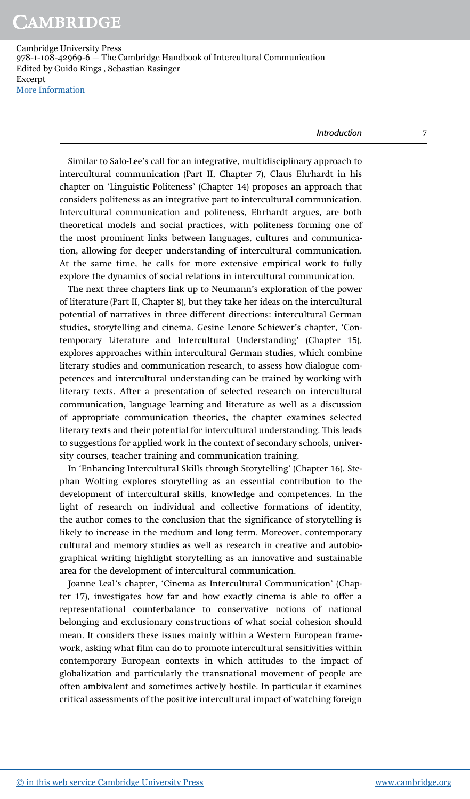### *Introduction* 7

Similar to Salo-Lee's call for an integrative, multidisciplinary approach to intercultural communication (Part II, Chapter 7), Claus Ehrhardt in his chapter on 'Linguistic Politeness' (Chapter 14) proposes an approach that considers politeness as an integrative part to intercultural communication. Intercultural communication and politeness, Ehrhardt argues, are both theoretical models and social practices, with politeness forming one of the most prominent links between languages, cultures and communication, allowing for deeper understanding of intercultural communication. At the same time, he calls for more extensive empirical work to fully explore the dynamics of social relations in intercultural communication.

The next three chapters link up to Neumann's exploration of the power of literature (Part II, Chapter 8), but they take her ideas on the intercultural potential of narratives in three different directions: intercultural German studies, storytelling and cinema. Gesine Lenore Schiewer's chapter, 'Contemporary Literature and Intercultural Understanding' (Chapter 15), explores approaches within intercultural German studies, which combine literary studies and communication research, to assess how dialogue competences and intercultural understanding can be trained by working with literary texts. After a presentation of selected research on intercultural communication, language learning and literature as well as a discussion of appropriate communication theories, the chapter examines selected literary texts and their potential for intercultural understanding. This leads to suggestions for applied work in the context of secondary schools, university courses, teacher training and communication training.

In 'Enhancing Intercultural Skills through Storytelling' (Chapter 16), Stephan Wolting explores storytelling as an essential contribution to the development of intercultural skills, knowledge and competences. In the light of research on individual and collective formations of identity, the author comes to the conclusion that the significance of storytelling is likely to increase in the medium and long term. Moreover, contemporary cultural and memory studies as well as research in creative and autobiographical writing highlight storytelling as an innovative and sustainable area for the development of intercultural communication.

Joanne Leal's chapter, 'Cinema as Intercultural Communication' (Chapter 17), investigates how far and how exactly cinema is able to offer a representational counterbalance to conservative notions of national belonging and exclusionary constructions of what social cohesion should mean. It considers these issues mainly within a Western European framework, asking what film can do to promote intercultural sensitivities within contemporary European contexts in which attitudes to the impact of globalization and particularly the transnational movement of people are often ambivalent and sometimes actively hostile. In particular it examines critical assessments of the positive intercultural impact of watching foreign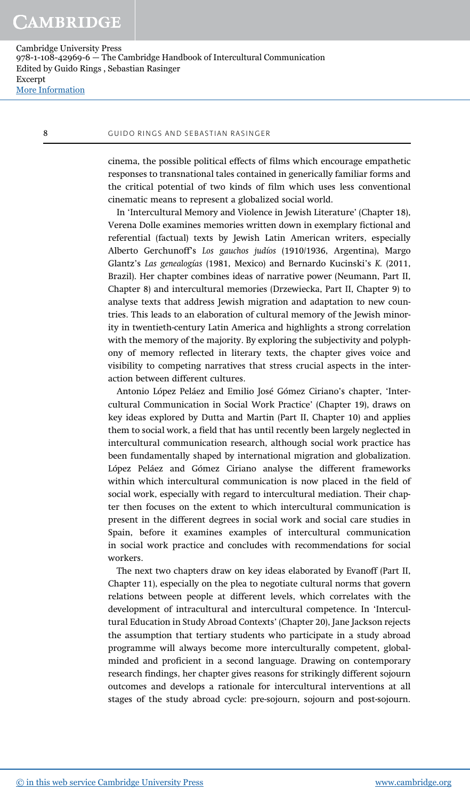cinema, the possible political effects of films which encourage empathetic responses to transnational tales contained in generically familiar forms and the critical potential of two kinds of film which uses less conventional cinematic means to represent a globalized social world.

In 'Intercultural Memory and Violence in Jewish Literature' (Chapter 18), Verena Dolle examines memories written down in exemplary fictional and referential (factual) texts by Jewish Latin American writers, especially Alberto Gerchunoff's *Los gauchos judíos* (1910/1936, Argentina), Margo Glantz's *Las genealogías* (1981, Mexico) and Bernardo Kucinski's *K.* (2011, Brazil). Her chapter combines ideas of narrative power (Neumann, Part II, Chapter 8) and intercultural memories (Drzewiecka, Part II, Chapter 9) to analyse texts that address Jewish migration and adaptation to new countries. This leads to an elaboration of cultural memory of the Jewish minority in twentieth-century Latin America and highlights a strong correlation with the memory of the majority. By exploring the subjectivity and polyphony of memory reflected in literary texts, the chapter gives voice and visibility to competing narratives that stress crucial aspects in the interaction between different cultures.

Antonio López Peláez and Emilio José Gómez Ciriano's chapter, 'Intercultural Communication in Social Work Practice' (Chapter 19), draws on key ideas explored by Dutta and Martin (Part II, Chapter 10) and applies them to social work, a field that has until recently been largely neglected in intercultural communication research, although social work practice has been fundamentally shaped by international migration and globalization. López Peláez and Gómez Ciriano analyse the different frameworks within which intercultural communication is now placed in the field of social work, especially with regard to intercultural mediation. Their chapter then focuses on the extent to which intercultural communication is present in the different degrees in social work and social care studies in Spain, before it examines examples of intercultural communication in social work practice and concludes with recommendations for social workers.

The next two chapters draw on key ideas elaborated by Evanoff (Part II, Chapter 11), especially on the plea to negotiate cultural norms that govern relations between people at different levels, which correlates with the development of intracultural and intercultural competence. In 'Intercultural Education in Study Abroad Contexts' (Chapter 20), Jane Jackson rejects the assumption that tertiary students who participate in a study abroad programme will always become more interculturally competent, globalminded and proficient in a second language. Drawing on contemporary research findings, her chapter gives reasons for strikingly different sojourn outcomes and develops a rationale for intercultural interventions at all stages of the study abroad cycle: pre-sojourn, sojourn and post-sojourn.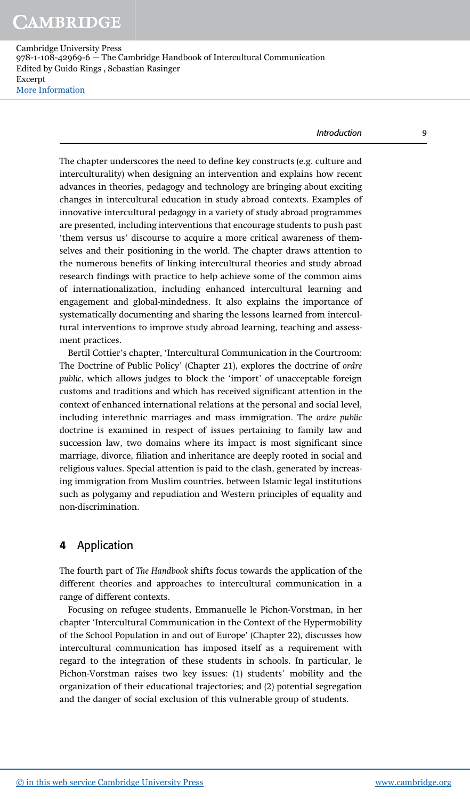*Introduction* 9

The chapter underscores the need to define key constructs (e.g. culture and interculturality) when designing an intervention and explains how recent advances in theories, pedagogy and technology are bringing about exciting changes in intercultural education in study abroad contexts. Examples of innovative intercultural pedagogy in a variety of study abroad programmes are presented, including interventions that encourage students to push past 'them versus us' discourse to acquire a more critical awareness of themselves and their positioning in the world. The chapter draws attention to the numerous benefits of linking intercultural theories and study abroad research findings with practice to help achieve some of the common aims of internationalization, including enhanced intercultural learning and engagement and global-mindedness. It also explains the importance of systematically documenting and sharing the lessons learned from intercultural interventions to improve study abroad learning, teaching and assessment practices.

Bertil Cottier's chapter, 'Intercultural Communication in the Courtroom: The Doctrine of Public Policy' (Chapter 21), explores the doctrine of *ordre public*, which allows judges to block the 'import' of unacceptable foreign customs and traditions and which has received significant attention in the context of enhanced international relations at the personal and social level, including interethnic marriages and mass immigration. The *ordre public* doctrine is examined in respect of issues pertaining to family law and succession law, two domains where its impact is most significant since marriage, divorce, filiation and inheritance are deeply rooted in social and religious values. Special attention is paid to the clash, generated by increasing immigration from Muslim countries, between Islamic legal institutions such as polygamy and repudiation and Western principles of equality and non-discrimination.

## 4 Application

The fourth part of *The Handbook* shifts focus towards the application of the different theories and approaches to intercultural communication in a range of different contexts.

Focusing on refugee students, Emmanuelle le Pichon-Vorstman, in her chapter 'Intercultural Communication in the Context of the Hypermobility of the School Population in and out of Europe' (Chapter 22), discusses how intercultural communication has imposed itself as a requirement with regard to the integration of these students in schools. In particular, le Pichon-Vorstman raises two key issues: (1) students' mobility and the organization of their educational trajectories; and (2) potential segregation and the danger of social exclusion of this vulnerable group of students.